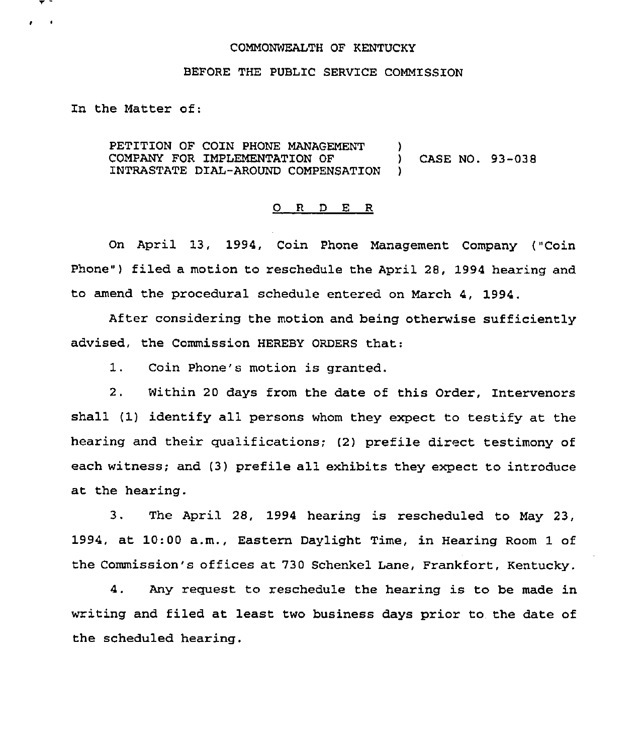## COMMONWEALTH OF KENTUCKY

## BEFORE THE PUBLIC SERVICE COMMISSION

In the Matter of:

PETITION OF COIN PHONE MANAGEMENT ) COMPANY FOR IMPLEMENTATION OF ) CASE NO. 93-038 INTRASTATE DIAL-AROUND COMPENSATION )

## 0 R <sup>D</sup> E R

On April 13, 1994, Coin Phone Management Company ("Coin Phone") filed a motion to reschedule the April 28, 1994 hearing and to amend the procedural schedule entered on March 4, 1994.

After considering the motion and being otherwise sufficiently advised, the Commission HEREBY ORDERS that:

1. Coin Phone's motion is granted.

2. Within 20 days from the date of this Order, Intervenors shall (1) identify all persons whom they expect to testify at the hearing and their qualifications; (2) prefile direct testimony of each witness; and (3) prefile all exhibits they expect to introduce at the hearing,

3. The April 28, 1994 hearing is rescheduled to May 23, 1994, at 10:00 a.m., Eastern Daylight Time, in Hearing Room 1 of the Commission's offices at 730 Schenkel Lane, Frankfort, Kentucky.

4. Any request to reschedule the hearing is to be made in writing and filed at least two business days prior to the date of the scheduled hearing.